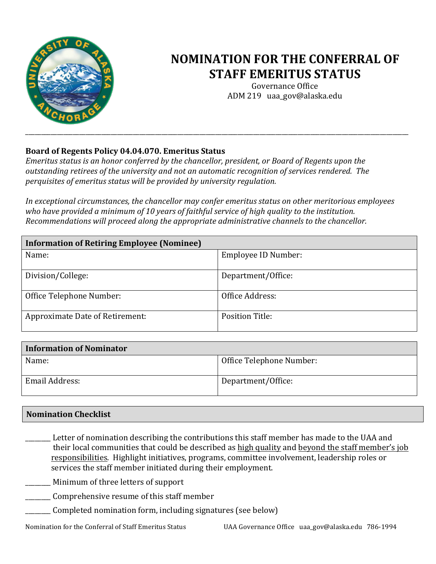

## **NOMINATION FOR THE CONFERRAL OF STAFF EMERITUS STATUS**

Governance Office ADM 219 uaa\_gov@alaska.edu

## Board of Regents Policy 04.04.070. Emeritus Status

*Emeritus status is an honor conferred by the chancellor, president, or Board of Regents upon the* outstanding retirees of the university and not an automatic recognition of services rendered. The *perquisites of emeritus status will be provided by university regulation.* 

In exceptional circumstances, the chancellor may confer emeritus status on other meritorious employees who have provided a minimum of 10 years of faithful service of high quality to the institution. *Recommendations will proceed along the appropriate administrative channels to the chancellor.* 

| <b>Information of Retiring Employee (Nominee)</b> |                        |  |
|---------------------------------------------------|------------------------|--|
| Name:                                             | Employee ID Number:    |  |
| Division/College:                                 | Department/Office:     |  |
| Office Telephone Number:                          | Office Address:        |  |
| Approximate Date of Retirement:                   | <b>Position Title:</b> |  |

| Information of Nominator |                          |  |
|--------------------------|--------------------------|--|
| Name:                    | Office Telephone Number: |  |
| Email Address:           | Department/Office:       |  |

## **Nomination Checklist**

Letter of nomination describing the contributions this staff member has made to the UAA and their local communities that could be described as high quality and beyond the staff member's job responsibilities. Highlight initiatives, programs, committee involvement, leadership roles or services the staff member initiated during their employment.

\_\_\_\_\_\_\_\_ Minimum of three letters of support 

- Comprehensive resume of this staff member
- Completed nomination form, including signatures (see below)